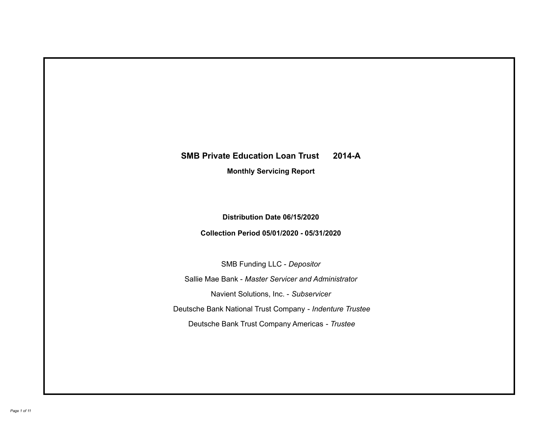# **SMB Private Education Loan Trust 2014-A Monthly Servicing Report**

# **Distribution Date 06/15/2020**

## **Collection Period 05/01/2020 - 05/31/2020**

SMB Funding LLC - *Depositor*

Sallie Mae Bank - *Master Servicer and Administrator*

Navient Solutions, Inc. - *Subservicer*

Deutsche Bank National Trust Company - *Indenture Trustee*

Deutsche Bank Trust Company Americas - *Trustee*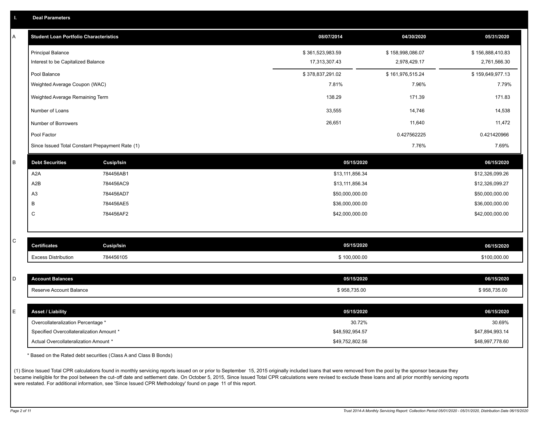| ш | <b>Deal Parameters</b> |  |
|---|------------------------|--|
|   |                        |  |

| Α | <b>Student Loan Portfolio Characteristics</b>                  |                   | 08/07/2014                        | 04/30/2020       | 05/31/2020                       |
|---|----------------------------------------------------------------|-------------------|-----------------------------------|------------------|----------------------------------|
|   |                                                                |                   |                                   |                  |                                  |
|   | <b>Principal Balance</b><br>Interest to be Capitalized Balance |                   | \$361,523,983.59<br>17,313,307.43 | \$158,998,086.07 | \$156,888,410.83<br>2,761,566.30 |
|   |                                                                |                   |                                   | 2,978,429.17     |                                  |
|   | Pool Balance                                                   |                   | \$378,837,291.02                  | \$161,976,515.24 | \$159,649,977.13                 |
|   | Weighted Average Coupon (WAC)                                  |                   | 7.81%                             | 7.96%            | 7.79%                            |
|   | Weighted Average Remaining Term                                |                   | 138.29                            | 171.39           | 171.83                           |
|   | Number of Loans                                                |                   | 33,555                            | 14,746           | 14,538                           |
|   | Number of Borrowers                                            |                   | 26,651                            | 11,640           | 11,472                           |
|   | Pool Factor                                                    |                   |                                   | 0.427562225      | 0.421420966                      |
|   | Since Issued Total Constant Prepayment Rate (1)                |                   |                                   | 7.76%            | 7.69%                            |
| B | <b>Debt Securities</b>                                         | <b>Cusip/Isin</b> | 05/15/2020                        |                  | 06/15/2020                       |
|   | A2A                                                            | 784456AB1         | \$13,111,856.34                   |                  | \$12,326,099.26                  |
|   | A2B                                                            | 784456AC9         | \$13,111,856.34                   |                  | \$12,326,099.27                  |
|   | A <sub>3</sub>                                                 | 784456AD7         | \$50,000,000.00                   |                  | \$50,000,000.00                  |
|   | В                                                              | 784456AE5         | \$36,000,000.00                   |                  | \$36,000,000.00                  |
|   | C                                                              | 784456AF2         | \$42,000,000.00                   |                  | \$42,000,000.00                  |
|   |                                                                |                   |                                   |                  |                                  |
| C | <b>Certificates</b>                                            | <b>Cusip/Isin</b> | 05/15/2020                        |                  | 06/15/2020                       |
|   |                                                                |                   |                                   |                  |                                  |
|   | <b>Excess Distribution</b>                                     | 784456105         | \$100,000.00                      |                  | \$100,000.00                     |
| D | <b>Account Balances</b>                                        |                   | 05/15/2020                        |                  | 06/15/2020                       |
|   | Reserve Account Balance                                        |                   | \$958,735.00                      |                  | \$958,735.00                     |
|   |                                                                |                   |                                   |                  |                                  |
| E | <b>Asset / Liability</b>                                       |                   | 05/15/2020                        |                  | 06/15/2020                       |
|   | Overcollateralization Percentage *                             |                   | 30.72%                            |                  | 30.69%                           |
|   | Specified Overcollateralization Amount *                       |                   | \$48,592,954.57                   |                  | \$47,894,993.14                  |
|   | Actual Overcollateralization Amount *                          |                   | \$49,752,802.56                   |                  | \$48,997,778.60                  |

\* Based on the Rated debt securities (Class A and Class B Bonds)

(1) Since Issued Total CPR calculations found in monthly servicing reports issued on or prior to September 15, 2015 originally included loans that were removed from the pool by the sponsor because they became ineligible for the pool between the cut-off date and settlement date. On October 5, 2015, Since Issued Total CPR calculations were revised to exclude these loans and all prior monthly servicing reports were restated. For additional information, see 'Since Issued CPR Methodology' found on page 11 of this report.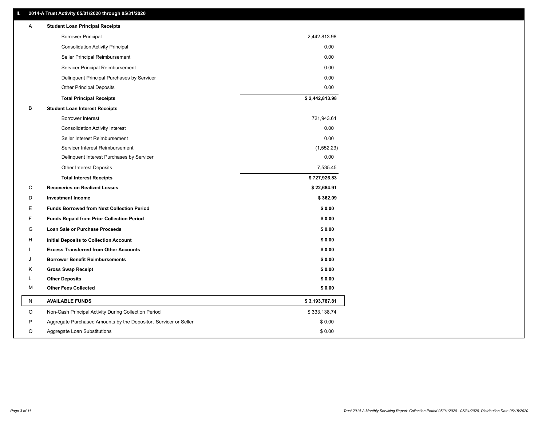### **II. 2014-A Trust Activity 05/01/2020 through 05/31/2020**

| <b>Borrower Principal</b><br>2,442,813.98<br><b>Consolidation Activity Principal</b><br>0.00<br>0.00<br>Seller Principal Reimbursement<br>0.00<br>Servicer Principal Reimbursement<br>0.00<br>Delinquent Principal Purchases by Servicer<br>0.00<br><b>Other Principal Deposits</b> |  |
|-------------------------------------------------------------------------------------------------------------------------------------------------------------------------------------------------------------------------------------------------------------------------------------|--|
|                                                                                                                                                                                                                                                                                     |  |
|                                                                                                                                                                                                                                                                                     |  |
|                                                                                                                                                                                                                                                                                     |  |
|                                                                                                                                                                                                                                                                                     |  |
|                                                                                                                                                                                                                                                                                     |  |
|                                                                                                                                                                                                                                                                                     |  |
| \$2,442,813.98<br><b>Total Principal Receipts</b>                                                                                                                                                                                                                                   |  |
| В<br><b>Student Loan Interest Receipts</b>                                                                                                                                                                                                                                          |  |
| <b>Borrower Interest</b><br>721,943.61                                                                                                                                                                                                                                              |  |
| 0.00<br><b>Consolidation Activity Interest</b>                                                                                                                                                                                                                                      |  |
| 0.00<br>Seller Interest Reimbursement                                                                                                                                                                                                                                               |  |
| Servicer Interest Reimbursement<br>(1,552.23)                                                                                                                                                                                                                                       |  |
| 0.00<br>Delinquent Interest Purchases by Servicer                                                                                                                                                                                                                                   |  |
| <b>Other Interest Deposits</b><br>7,535.45                                                                                                                                                                                                                                          |  |
| \$727,926.83<br><b>Total Interest Receipts</b>                                                                                                                                                                                                                                      |  |
| C<br><b>Recoveries on Realized Losses</b><br>\$22,684.91                                                                                                                                                                                                                            |  |
| D<br><b>Investment Income</b><br>\$362.09                                                                                                                                                                                                                                           |  |
| E<br><b>Funds Borrowed from Next Collection Period</b><br>\$0.00                                                                                                                                                                                                                    |  |
| F<br><b>Funds Repaid from Prior Collection Period</b><br>\$0.00                                                                                                                                                                                                                     |  |
| G<br>\$0.00<br>Loan Sale or Purchase Proceeds                                                                                                                                                                                                                                       |  |
| \$0.00<br>H<br>Initial Deposits to Collection Account                                                                                                                                                                                                                               |  |
| <b>Excess Transferred from Other Accounts</b><br>\$0.00                                                                                                                                                                                                                             |  |
| <b>Borrower Benefit Reimbursements</b><br>\$0.00<br>J                                                                                                                                                                                                                               |  |
| Κ<br><b>Gross Swap Receipt</b><br>\$0.00                                                                                                                                                                                                                                            |  |
| <b>Other Deposits</b><br>\$0.00<br>L                                                                                                                                                                                                                                                |  |
| <b>Other Fees Collected</b><br>М<br>\$0.00                                                                                                                                                                                                                                          |  |
| N<br><b>AVAILABLE FUNDS</b><br>\$3,193,787.81                                                                                                                                                                                                                                       |  |
| \$333,138.74<br>O<br>Non-Cash Principal Activity During Collection Period                                                                                                                                                                                                           |  |
| \$0.00<br>P<br>Aggregate Purchased Amounts by the Depositor, Servicer or Seller                                                                                                                                                                                                     |  |
| \$0.00<br>Q<br>Aggregate Loan Substitutions                                                                                                                                                                                                                                         |  |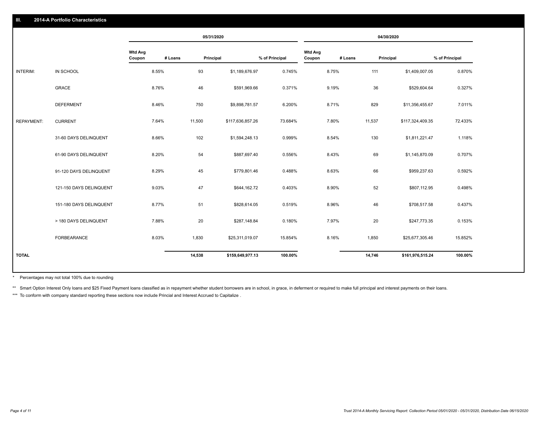|                   |                         |                          |         | 05/31/2020 |                  |                |                          |         | 04/30/2020 |                  |                |
|-------------------|-------------------------|--------------------------|---------|------------|------------------|----------------|--------------------------|---------|------------|------------------|----------------|
|                   |                         | <b>Wtd Avg</b><br>Coupon | # Loans | Principal  |                  | % of Principal | <b>Wtd Avg</b><br>Coupon | # Loans | Principal  |                  | % of Principal |
| <b>INTERIM:</b>   | IN SCHOOL               |                          | 8.55%   | 93         | \$1,189,676.97   | 0.745%         |                          | 8.75%   | 111        | \$1,409,007.05   | 0.870%         |
|                   | <b>GRACE</b>            |                          | 8.76%   | 46         | \$591,969.66     | 0.371%         |                          | 9.19%   | 36         | \$529,604.64     | 0.327%         |
|                   | <b>DEFERMENT</b>        |                          | 8.46%   | 750        | \$9,898,781.57   | 6.200%         |                          | 8.71%   | 829        | \$11,356,455.67  | 7.011%         |
| <b>REPAYMENT:</b> | <b>CURRENT</b>          |                          | 7.64%   | 11,500     | \$117,636,857.26 | 73.684%        |                          | 7.80%   | 11,537     | \$117,324,409.35 | 72.433%        |
|                   | 31-60 DAYS DELINQUENT   |                          | 8.66%   | 102        | \$1,594,248.13   | 0.999%         |                          | 8.54%   | 130        | \$1,811,221.47   | 1.118%         |
|                   | 61-90 DAYS DELINQUENT   |                          | 8.20%   | 54         | \$887,697.40     | 0.556%         |                          | 8.43%   | 69         | \$1,145,870.09   | 0.707%         |
|                   | 91-120 DAYS DELINQUENT  |                          | 8.29%   | 45         | \$779,801.46     | 0.488%         |                          | 8.63%   | 66         | \$959,237.63     | 0.592%         |
|                   | 121-150 DAYS DELINQUENT |                          | 9.03%   | 47         | \$644,162.72     | 0.403%         |                          | 8.90%   | 52         | \$807,112.95     | 0.498%         |
|                   | 151-180 DAYS DELINQUENT |                          | 8.77%   | 51         | \$828,614.05     | 0.519%         |                          | 8.96%   | 46         | \$708,517.58     | 0.437%         |
|                   | > 180 DAYS DELINQUENT   |                          | 7.88%   | 20         | \$287,148.84     | 0.180%         |                          | 7.97%   | 20         | \$247,773.35     | 0.153%         |
|                   | <b>FORBEARANCE</b>      |                          | 8.03%   | 1,830      | \$25,311,019.07  | 15.854%        |                          | 8.16%   | 1,850      | \$25,677,305.46  | 15.852%        |
| <b>TOTAL</b>      |                         |                          |         | 14,538     | \$159,649,977.13 | 100.00%        |                          |         | 14,746     | \$161,976,515.24 | 100.00%        |

Percentages may not total 100% due to rounding \*

\*\* Smart Option Interest Only loans and \$25 Fixed Payment loans classified as in repayment whether student borrowers are in school, in grace, in deferment or required to make full principal and interest payments on their l

\*\*\* To conform with company standard reporting these sections now include Princial and Interest Accrued to Capitalize.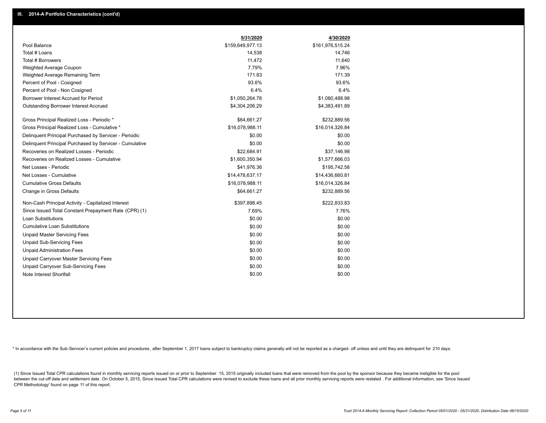|                                                         | 5/31/2020        | 4/30/2020        |
|---------------------------------------------------------|------------------|------------------|
| Pool Balance                                            | \$159,649,977.13 | \$161,976,515.24 |
| Total # Loans                                           | 14,538           | 14,746           |
| Total # Borrowers                                       | 11,472           | 11,640           |
| Weighted Average Coupon                                 | 7.79%            | 7.96%            |
| Weighted Average Remaining Term                         | 171.83           | 171.39           |
| Percent of Pool - Cosigned                              | 93.6%            | 93.6%            |
| Percent of Pool - Non Cosigned                          | 6.4%             | 6.4%             |
| Borrower Interest Accrued for Period                    | \$1,050,264.78   | \$1,080,488.98   |
| Outstanding Borrower Interest Accrued                   | \$4,304,206.29   | \$4,383,491.89   |
| Gross Principal Realized Loss - Periodic *              | \$64,661.27      | \$232,889.56     |
| Gross Principal Realized Loss - Cumulative *            | \$16,078,988.11  | \$16,014,326.84  |
| Delinquent Principal Purchased by Servicer - Periodic   | \$0.00           | \$0.00           |
| Delinguent Principal Purchased by Servicer - Cumulative | \$0.00           | \$0.00           |
| Recoveries on Realized Losses - Periodic                | \$22.684.91      | \$37.146.98      |
| Recoveries on Realized Losses - Cumulative              | \$1,600,350.94   | \$1,577,666.03   |
| Net Losses - Periodic                                   | \$41,976.36      | \$195,742.58     |
| Net Losses - Cumulative                                 | \$14,478,637.17  | \$14,436,660.81  |
| <b>Cumulative Gross Defaults</b>                        | \$16,078,988.11  | \$16,014,326.84  |
| Change in Gross Defaults                                | \$64,661.27      | \$232,889.56     |
| Non-Cash Principal Activity - Capitalized Interest      | \$397,898.45     | \$222,833.83     |
| Since Issued Total Constant Prepayment Rate (CPR) (1)   | 7.69%            | 7.76%            |
| Loan Substitutions                                      | \$0.00           | \$0.00           |
| <b>Cumulative Loan Substitutions</b>                    | \$0.00           | \$0.00           |
| <b>Unpaid Master Servicing Fees</b>                     | \$0.00           | \$0.00           |
| <b>Unpaid Sub-Servicing Fees</b>                        | \$0.00           | \$0.00           |
| <b>Unpaid Administration Fees</b>                       | \$0.00           | \$0.00           |
| Unpaid Carryover Master Servicing Fees                  | \$0.00           | \$0.00           |
| Unpaid Carryover Sub-Servicing Fees                     | \$0.00           | \$0.00           |
| Note Interest Shortfall                                 | \$0.00           | \$0.00           |

\* In accordance with the Sub-Servicer's current policies and procedures, after September 1, 2017 loans subject to bankruptcy claims generally will not be reported as a charged- off unless and until they are delinquent for

(1) Since Issued Total CPR calculations found in monthly servicing reports issued on or prior to September 15, 2015 originally included loans that were removed from the pool by the sponsor because they became ineligible fo between the cut-off date and settlement date. On October 5, 2015, Since Issued Total CPR calculations were revised to exclude these loans and all prior monthly servicing reports were restated. For additional information, s CPR Methodology' found on page 11 of this report.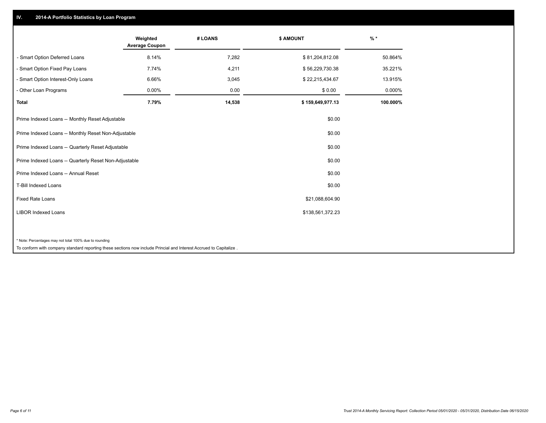## **IV. 2014-A Portfolio Statistics by Loan Program**

|                                                                                                                    | Weighted<br><b>Average Coupon</b> | # LOANS | <b>\$ AMOUNT</b> | $%$ *    |
|--------------------------------------------------------------------------------------------------------------------|-----------------------------------|---------|------------------|----------|
| - Smart Option Deferred Loans                                                                                      | 8.14%                             | 7,282   | \$81,204,812.08  | 50.864%  |
| - Smart Option Fixed Pay Loans                                                                                     | 7.74%                             | 4,211   | \$56,229,730.38  | 35.221%  |
| - Smart Option Interest-Only Loans                                                                                 | 6.66%                             | 3,045   | \$22,215,434.67  | 13.915%  |
| - Other Loan Programs                                                                                              | 0.00%                             | 0.00    | \$0.00           | 0.000%   |
| Total                                                                                                              | 7.79%                             | 14,538  | \$159,649,977.13 | 100.000% |
| Prime Indexed Loans -- Monthly Reset Adjustable                                                                    |                                   |         | \$0.00           |          |
| Prime Indexed Loans -- Monthly Reset Non-Adjustable                                                                |                                   |         | \$0.00           |          |
| Prime Indexed Loans -- Quarterly Reset Adjustable                                                                  |                                   |         | \$0.00           |          |
| Prime Indexed Loans -- Quarterly Reset Non-Adjustable                                                              |                                   |         | \$0.00           |          |
| Prime Indexed Loans -- Annual Reset                                                                                |                                   |         | \$0.00           |          |
| T-Bill Indexed Loans                                                                                               |                                   |         | \$0.00           |          |
| <b>Fixed Rate Loans</b>                                                                                            |                                   |         | \$21,088,604.90  |          |
| <b>LIBOR Indexed Loans</b>                                                                                         |                                   |         | \$138,561,372.23 |          |
|                                                                                                                    |                                   |         |                  |          |
| * Note: Percentages may not total 100% due to rounding                                                             |                                   |         |                  |          |
| To conform with company standard reporting these sections now include Princial and Interest Accrued to Capitalize. |                                   |         |                  |          |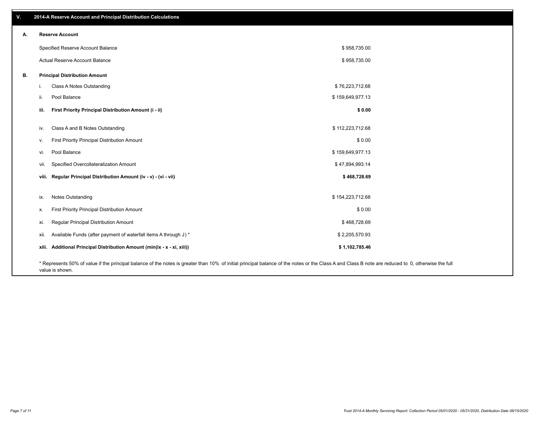| V. | 2014-A Reserve Account and Principal Distribution Calculations                                                                                                                                     |                  |  |
|----|----------------------------------------------------------------------------------------------------------------------------------------------------------------------------------------------------|------------------|--|
| А. | <b>Reserve Account</b>                                                                                                                                                                             |                  |  |
|    | Specified Reserve Account Balance                                                                                                                                                                  | \$958,735.00     |  |
|    | Actual Reserve Account Balance                                                                                                                                                                     | \$958,735.00     |  |
| В. | <b>Principal Distribution Amount</b>                                                                                                                                                               |                  |  |
|    | Class A Notes Outstanding<br>j.                                                                                                                                                                    | \$76,223,712.68  |  |
|    | Pool Balance<br>ii.                                                                                                                                                                                | \$159,649,977.13 |  |
|    | First Priority Principal Distribution Amount (i - ii)<br>iii.                                                                                                                                      | \$0.00           |  |
|    | Class A and B Notes Outstanding<br>iv.                                                                                                                                                             | \$112,223,712.68 |  |
|    | First Priority Principal Distribution Amount<br>V.                                                                                                                                                 | \$0.00           |  |
|    | Pool Balance<br>vi.                                                                                                                                                                                | \$159,649,977.13 |  |
|    | Specified Overcollateralization Amount<br>vii.                                                                                                                                                     | \$47,894,993.14  |  |
|    | viii. Regular Principal Distribution Amount (iv - v) - (vi - vii)                                                                                                                                  | \$468,728.69     |  |
|    | Notes Outstanding<br>ix.                                                                                                                                                                           | \$154,223,712.68 |  |
|    | First Priority Principal Distribution Amount                                                                                                                                                       | \$0.00           |  |
|    | Х.                                                                                                                                                                                                 |                  |  |
|    | Regular Principal Distribution Amount<br>xi.                                                                                                                                                       | \$468,728.69     |  |
|    | Available Funds (after payment of waterfall items A through J) *<br>xii.                                                                                                                           | \$2,205,570.93   |  |
|    | xiii. Additional Principal Distribution Amount (min(ix - x - xi, xiii))                                                                                                                            | \$1,102,785.46   |  |
|    | * Represents 50% of value if the principal balance of the notes is greater than 10% of initial principal balance of the notes or the Class A and Class B note are reduced to 0, otherwise the full |                  |  |

value is shown.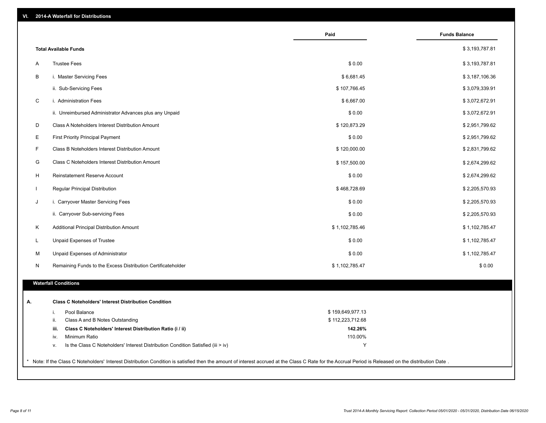|              |                                                                                                                                                                                                     | Paid             | <b>Funds Balance</b> |
|--------------|-----------------------------------------------------------------------------------------------------------------------------------------------------------------------------------------------------|------------------|----------------------|
|              | <b>Total Available Funds</b>                                                                                                                                                                        |                  | \$3,193,787.81       |
| A            | <b>Trustee Fees</b>                                                                                                                                                                                 | \$0.00           | \$3,193,787.81       |
| B            | i. Master Servicing Fees                                                                                                                                                                            | \$6,681.45       | \$3,187,106.36       |
|              | ii. Sub-Servicing Fees                                                                                                                                                                              | \$107,766.45     | \$3,079,339.91       |
| $\mathsf C$  | i. Administration Fees                                                                                                                                                                              | \$6,667.00       | \$3,072,672.91       |
|              | ii. Unreimbursed Administrator Advances plus any Unpaid                                                                                                                                             | \$0.00           | \$3,072,672.91       |
| D            | Class A Noteholders Interest Distribution Amount                                                                                                                                                    | \$120,873.29     | \$2,951,799.62       |
| Е            | <b>First Priority Principal Payment</b>                                                                                                                                                             | \$0.00           | \$2,951,799.62       |
| F            | Class B Noteholders Interest Distribution Amount                                                                                                                                                    | \$120,000.00     | \$2,831,799.62       |
| G            | Class C Noteholders Interest Distribution Amount                                                                                                                                                    | \$157,500.00     | \$2,674,299.62       |
| H            | Reinstatement Reserve Account                                                                                                                                                                       | \$0.00           | \$2,674,299.62       |
| $\mathbf{L}$ | Regular Principal Distribution                                                                                                                                                                      | \$468,728.69     | \$2,205,570.93       |
| J            | i. Carryover Master Servicing Fees                                                                                                                                                                  | \$0.00           | \$2,205,570.93       |
|              | ii. Carryover Sub-servicing Fees                                                                                                                                                                    | \$0.00           | \$2,205,570.93       |
| Κ            | Additional Principal Distribution Amount                                                                                                                                                            | \$1,102,785.46   | \$1,102,785.47       |
| L.           | Unpaid Expenses of Trustee                                                                                                                                                                          | \$0.00           | \$1,102,785.47       |
| м            | Unpaid Expenses of Administrator                                                                                                                                                                    | \$0.00           | \$1,102,785.47       |
| N            | Remaining Funds to the Excess Distribution Certificateholder                                                                                                                                        | \$1,102,785.47   | \$0.00               |
|              |                                                                                                                                                                                                     |                  |                      |
|              | <b>Waterfall Conditions</b>                                                                                                                                                                         |                  |                      |
| А.           | <b>Class C Noteholders' Interest Distribution Condition</b>                                                                                                                                         |                  |                      |
|              | Pool Balance<br>i.                                                                                                                                                                                  | \$159,649,977.13 |                      |
|              | Class A and B Notes Outstanding<br>ii.                                                                                                                                                              | \$112,223,712.68 |                      |
|              | Class C Noteholders' Interest Distribution Ratio (i / ii)<br>iii.                                                                                                                                   | 142.26%          |                      |
|              | Minimum Ratio<br>iv.                                                                                                                                                                                | 110.00%          |                      |
|              | Is the Class C Noteholders' Interest Distribution Condition Satisfied (iii > iv)<br>v.                                                                                                              | Y                |                      |
|              |                                                                                                                                                                                                     |                  |                      |
|              | Note: If the Class C Noteholders' Interest Distribution Condition is satisfied then the amount of interest accrued at the Class C Rate for the Accrual Period is Released on the distribution Date. |                  |                      |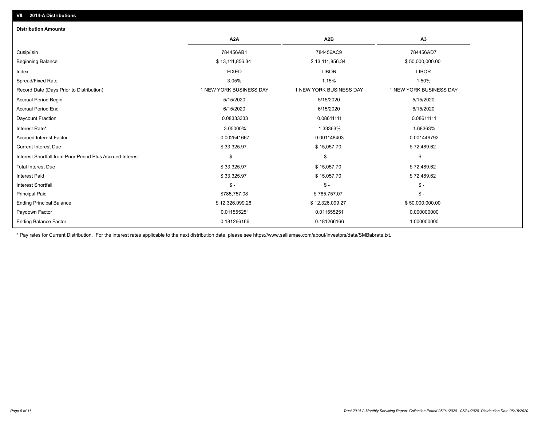| <b>Distribution Amounts</b>                                |                         |                         |                         |
|------------------------------------------------------------|-------------------------|-------------------------|-------------------------|
|                                                            | A <sub>2</sub> A        | A2B                     | A <sub>3</sub>          |
| Cusip/Isin                                                 | 784456AB1               | 784456AC9               | 784456AD7               |
| <b>Beginning Balance</b>                                   | \$13,111,856.34         | \$13,111,856.34         | \$50,000,000.00         |
| Index                                                      | <b>FIXED</b>            | <b>LIBOR</b>            | <b>LIBOR</b>            |
| Spread/Fixed Rate                                          | 3.05%                   | 1.15%                   | 1.50%                   |
| Record Date (Days Prior to Distribution)                   | 1 NEW YORK BUSINESS DAY | 1 NEW YORK BUSINESS DAY | 1 NEW YORK BUSINESS DAY |
| <b>Accrual Period Begin</b>                                | 5/15/2020               | 5/15/2020               | 5/15/2020               |
| <b>Accrual Period End</b>                                  | 6/15/2020               | 6/15/2020               | 6/15/2020               |
| Daycount Fraction                                          | 0.08333333              | 0.08611111              | 0.08611111              |
| Interest Rate*                                             | 3.05000%                | 1.33363%                | 1.68363%                |
| <b>Accrued Interest Factor</b>                             | 0.002541667             | 0.001148403             | 0.001449792             |
| <b>Current Interest Due</b>                                | \$33,325.97             | \$15,057.70             | \$72,489.62             |
| Interest Shortfall from Prior Period Plus Accrued Interest | $\mathsf{\$}$ -         | $$ -$                   | $$ -$                   |
| <b>Total Interest Due</b>                                  | \$33,325.97             | \$15,057.70             | \$72,489.62             |
| <b>Interest Paid</b>                                       | \$33,325.97             | \$15,057.70             | \$72,489.62             |
| <b>Interest Shortfall</b>                                  | $$ -$                   | $\frac{1}{2}$           | $$ -$                   |
| <b>Principal Paid</b>                                      | \$785,757.08            | \$785,757.07            | $$ -$                   |
| <b>Ending Principal Balance</b>                            | \$12,326,099.26         | \$12,326,099.27         | \$50,000,000.00         |
| Paydown Factor                                             | 0.011555251             | 0.011555251             | 0.000000000             |
| <b>Ending Balance Factor</b>                               | 0.181266166             | 0.181266166             | 1.000000000             |

\* Pay rates for Current Distribution. For the interest rates applicable to the next distribution date, please see https://www.salliemae.com/about/investors/data/SMBabrate.txt.

**VII. 2014-A Distributions**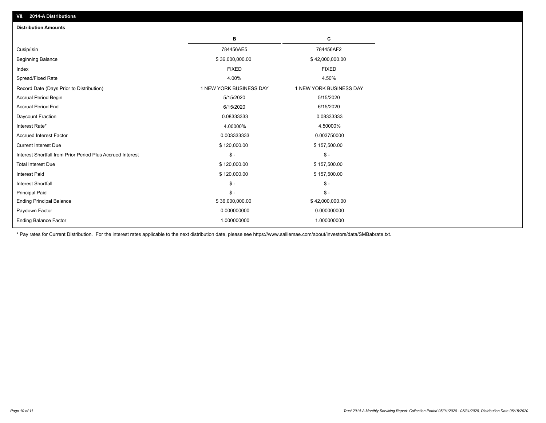| <b>Distribution Amounts</b>                                |                         |                         |
|------------------------------------------------------------|-------------------------|-------------------------|
|                                                            | в                       | C                       |
| Cusip/Isin                                                 | 784456AE5               | 784456AF2               |
| <b>Beginning Balance</b>                                   | \$36,000,000.00         | \$42,000,000.00         |
| Index                                                      | <b>FIXED</b>            | <b>FIXED</b>            |
| Spread/Fixed Rate                                          | 4.00%                   | 4.50%                   |
| Record Date (Days Prior to Distribution)                   | 1 NEW YORK BUSINESS DAY | 1 NEW YORK BUSINESS DAY |
| <b>Accrual Period Begin</b>                                | 5/15/2020               | 5/15/2020               |
| <b>Accrual Period End</b>                                  | 6/15/2020               | 6/15/2020               |
| Daycount Fraction                                          | 0.08333333              | 0.08333333              |
| Interest Rate*                                             | 4.00000%                | 4.50000%                |
| <b>Accrued Interest Factor</b>                             | 0.003333333             | 0.003750000             |
| <b>Current Interest Due</b>                                | \$120,000.00            | \$157,500.00            |
| Interest Shortfall from Prior Period Plus Accrued Interest | $\mathcal{S}$ -         | $\mathbb{S}$ -          |
| <b>Total Interest Due</b>                                  | \$120,000.00            | \$157,500.00            |
| <b>Interest Paid</b>                                       | \$120,000.00            | \$157,500.00            |
| <b>Interest Shortfall</b>                                  | $\mathcal{S}$ -         | $\mathsf{\$}$ -         |
| <b>Principal Paid</b>                                      | $\mathsf{\$}$ -         | $\mathsf{\$}$ -         |
| <b>Ending Principal Balance</b>                            | \$36,000,000.00         | \$42,000,000.00         |
| Paydown Factor                                             | 0.000000000             | 0.000000000             |
| <b>Ending Balance Factor</b>                               | 1.000000000             | 1.000000000             |

\* Pay rates for Current Distribution. For the interest rates applicable to the next distribution date, please see https://www.salliemae.com/about/investors/data/SMBabrate.txt.

**VII. 2014-A Distributions**